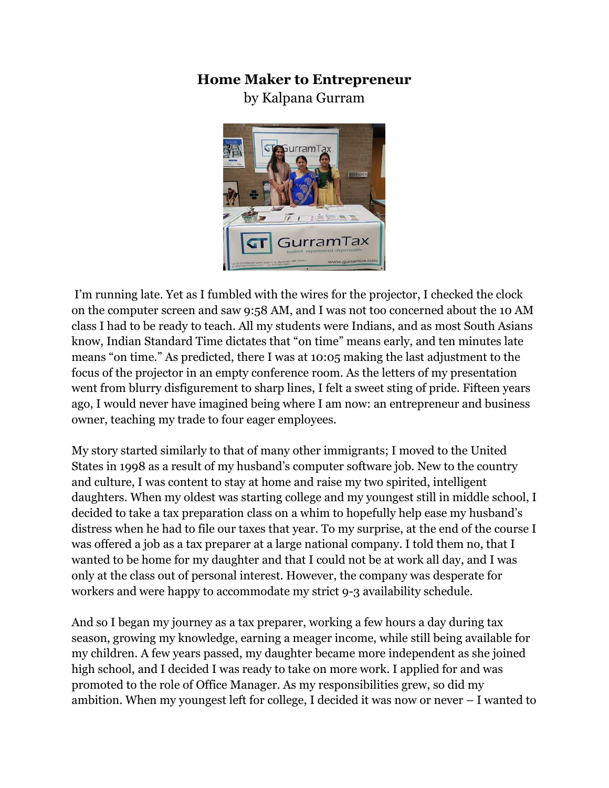## **Home Maker to Entrepreneur**

by Kalpana Gurram



I'm running late. Yet as I fumbled with the wires for the projector, I checked the clock on the computer screen and saw 9:58 AM, and I was not too concerned about the 10 AM class I had to be ready to teach. All my students were Indians, and as most South Asians know, Indian Standard Time dictates that "on time" means early, and ten minutes late means "on time." As predicted, there I was at 10:05 making the last adjustment to the focus of the projector in an empty conference room. As the letters of my presentation went from blurry disfigurement to sharp lines, I felt a sweet sting of pride. Fifteen years ago, I would never have imagined being where I am now: an entrepreneur and business owner, teaching my trade to four eager employees.

My story started similarly to that of many other immigrants; I moved to the United States in 1998 as a result of my husband's computer software job. New to the country and culture, I was content to stay at home and raise my two spirited, intelligent daughters. When my oldest was starting college and my youngest still in middle school, I decided to take a tax preparation class on a whim to hopefully help ease my husband's distress when he had to file our taxes that year. To my surprise, at the end of the course I was offered a job as a tax preparer at a large national company. I told them no, that I wanted to be home for my daughter and that I could not be at work all day, and I was only at the class out of personal interest. However, the company was desperate for workers and were happy to accommodate my strict 9-3 availability schedule.

And so I began my journey as a tax preparer, working a few hours a day during tax season, growing my knowledge, earning a meager income, while still being available for my children. A few years passed, my daughter became more independent as she joined high school, and I decided I was ready to take on more work. I applied for and was promoted to the role of Office Manager. As my responsibilities grew, so did my ambition. When my youngest left for college, I decided it was now or never – I wanted to